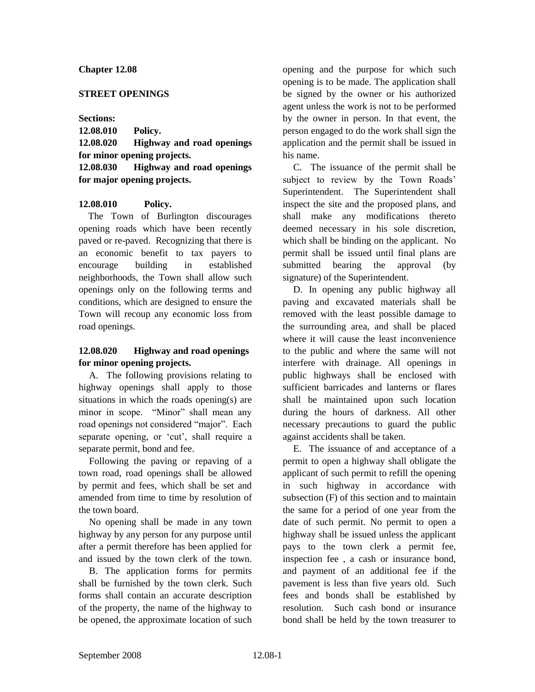### **Chapter 12.08**

#### **STREET OPENINGS**

#### **Sections:**

**12.08.010 Policy. 12.08.020 Highway and road openings for minor opening projects. 12.08.030 Highway and road openings for major opening projects.**

## **12.08.010 Policy.**

The Town of Burlington discourages opening roads which have been recently paved or re-paved. Recognizing that there is an economic benefit to tax payers to encourage building in established neighborhoods, the Town shall allow such openings only on the following terms and conditions, which are designed to ensure the Town will recoup any economic loss from road openings.

# **12.08.020 Highway and road openings for minor opening projects.**

A. The following provisions relating to highway openings shall apply to those situations in which the roads opening(s) are minor in scope. "Minor" shall mean any road openings not considered "major". Each separate opening, or 'cut', shall require a separate permit, bond and fee.

Following the paving or repaving of a town road, road openings shall be allowed by permit and fees, which shall be set and amended from time to time by resolution of the town board.

No opening shall be made in any town highway by any person for any purpose until after a permit therefore has been applied for and issued by the town clerk of the town.

B. The application forms for permits shall be furnished by the town clerk. Such forms shall contain an accurate description of the property, the name of the highway to be opened, the approximate location of such opening and the purpose for which such opening is to be made. The application shall be signed by the owner or his authorized agent unless the work is not to be performed by the owner in person. In that event, the person engaged to do the work shall sign the application and the permit shall be issued in his name.

C. The issuance of the permit shall be subject to review by the Town Roads' Superintendent. The Superintendent shall inspect the site and the proposed plans, and shall make any modifications thereto deemed necessary in his sole discretion, which shall be binding on the applicant. No permit shall be issued until final plans are submitted bearing the approval (by signature) of the Superintendent.

D. In opening any public highway all paving and excavated materials shall be removed with the least possible damage to the surrounding area, and shall be placed where it will cause the least inconvenience to the public and where the same will not interfere with drainage. All openings in public highways shall be enclosed with sufficient barricades and lanterns or flares shall be maintained upon such location during the hours of darkness. All other necessary precautions to guard the public against accidents shall be taken.

E. The issuance of and acceptance of a permit to open a highway shall obligate the applicant of such permit to refill the opening in such highway in accordance with subsection (F) of this section and to maintain the same for a period of one year from the date of such permit. No permit to open a highway shall be issued unless the applicant pays to the town clerk a permit fee, inspection fee , a cash or insurance bond, and payment of an additional fee if the pavement is less than five years old. Such fees and bonds shall be established by resolution. Such cash bond or insurance bond shall be held by the town treasurer to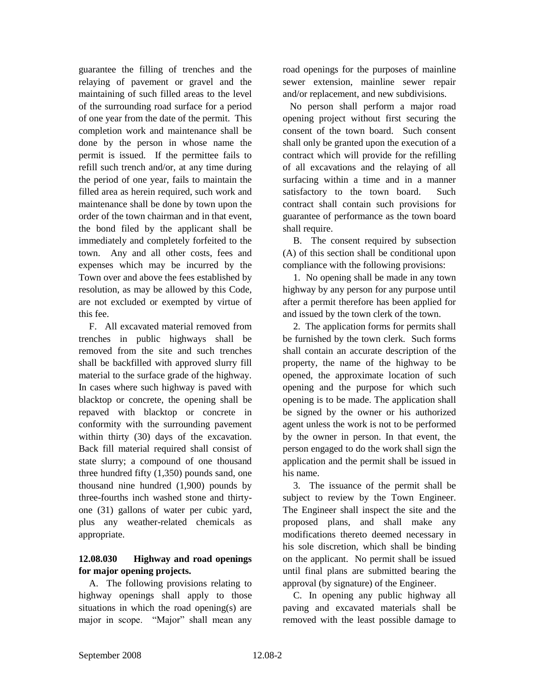guarantee the filling of trenches and the relaying of pavement or gravel and the maintaining of such filled areas to the level of the surrounding road surface for a period of one year from the date of the permit. This completion work and maintenance shall be done by the person in whose name the permit is issued. If the permittee fails to refill such trench and/or, at any time during the period of one year, fails to maintain the filled area as herein required, such work and maintenance shall be done by town upon the order of the town chairman and in that event, the bond filed by the applicant shall be immediately and completely forfeited to the town. Any and all other costs, fees and expenses which may be incurred by the Town over and above the fees established by resolution, as may be allowed by this Code, are not excluded or exempted by virtue of this fee.

F. All excavated material removed from trenches in public highways shall be removed from the site and such trenches shall be backfilled with approved slurry fill material to the surface grade of the highway. In cases where such highway is paved with blacktop or concrete, the opening shall be repaved with blacktop or concrete in conformity with the surrounding pavement within thirty (30) days of the excavation. Back fill material required shall consist of state slurry; a compound of one thousand three hundred fifty (1,350) pounds sand, one thousand nine hundred (1,900) pounds by three-fourths inch washed stone and thirtyone (31) gallons of water per cubic yard, plus any weather-related chemicals as appropriate.

# **12.08.030 Highway and road openings for major opening projects.**

A. The following provisions relating to highway openings shall apply to those situations in which the road opening(s) are major in scope. "Major" shall mean any

road openings for the purposes of mainline sewer extension, mainline sewer repair and/or replacement, and new subdivisions.

 No person shall perform a major road opening project without first securing the consent of the town board. Such consent shall only be granted upon the execution of a contract which will provide for the refilling of all excavations and the relaying of all surfacing within a time and in a manner satisfactory to the town board. Such contract shall contain such provisions for guarantee of performance as the town board shall require.

B. The consent required by subsection (A) of this section shall be conditional upon compliance with the following provisions:

1. No opening shall be made in any town highway by any person for any purpose until after a permit therefore has been applied for and issued by the town clerk of the town.

2. The application forms for permits shall be furnished by the town clerk. Such forms shall contain an accurate description of the property, the name of the highway to be opened, the approximate location of such opening and the purpose for which such opening is to be made. The application shall be signed by the owner or his authorized agent unless the work is not to be performed by the owner in person. In that event, the person engaged to do the work shall sign the application and the permit shall be issued in his name.

3. The issuance of the permit shall be subject to review by the Town Engineer. The Engineer shall inspect the site and the proposed plans, and shall make any modifications thereto deemed necessary in his sole discretion, which shall be binding on the applicant. No permit shall be issued until final plans are submitted bearing the approval (by signature) of the Engineer.

C. In opening any public highway all paving and excavated materials shall be removed with the least possible damage to